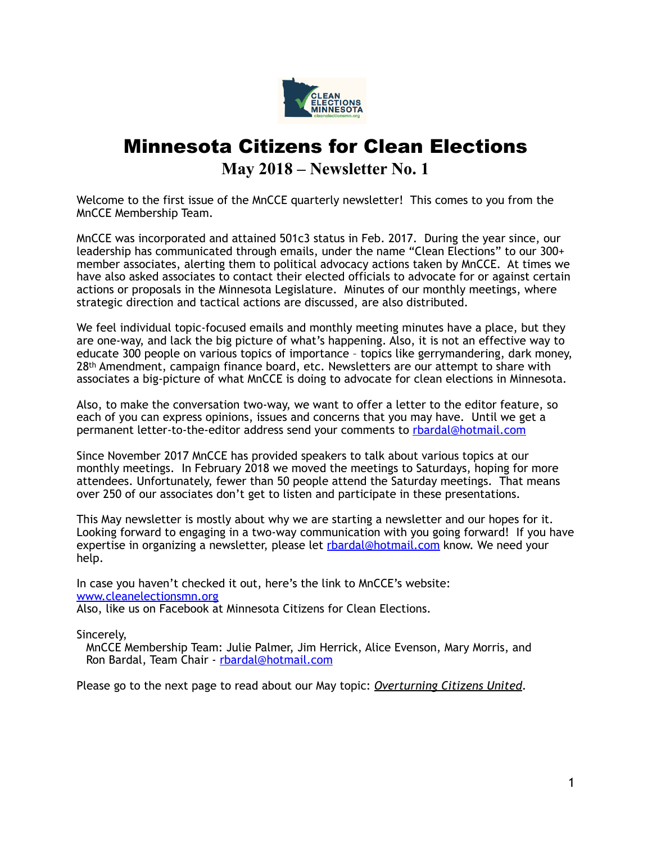

## Minnesota Citizens for Clean Elections **May 2018 – Newsletter No. 1**

Welcome to the first issue of the MnCCE quarterly newsletter! This comes to you from the MnCCE Membership Team.

MnCCE was incorporated and attained 501c3 status in Feb. 2017. During the year since, our leadership has communicated through emails, under the name "Clean Elections" to our 300+ member associates, alerting them to political advocacy actions taken by MnCCE. At times we have also asked associates to contact their elected officials to advocate for or against certain actions or proposals in the Minnesota Legislature. Minutes of our monthly meetings, where strategic direction and tactical actions are discussed, are also distributed.

We feel individual topic-focused emails and monthly meeting minutes have a place, but they are one-way, and lack the big picture of what's happening. Also, it is not an effective way to educate 300 people on various topics of importance – topics like gerrymandering, dark money, 28<sup>th</sup> Amendment, campaign finance board, etc. Newsletters are our attempt to share with associates a big-picture of what MnCCE is doing to advocate for clean elections in Minnesota.

Also, to make the conversation two-way, we want to offer a letter to the editor feature, so each of you can express opinions, issues and concerns that you may have. Until we get a permanent letter-to-the-editor address send your comments to [rbardal@hotmail.com](mailto:rbardal@hotmail.com)

Since November 2017 MnCCE has provided speakers to talk about various topics at our monthly meetings. In February 2018 we moved the meetings to Saturdays, hoping for more attendees. Unfortunately, fewer than 50 people attend the Saturday meetings. That means over 250 of our associates don't get to listen and participate in these presentations.

This May newsletter is mostly about why we are starting a newsletter and our hopes for it. Looking forward to engaging in a two-way communication with you going forward! If you have expertise in organizing a newsletter, please let [rbardal@hotmail.com](mailto:rbardal@hotmail.com) know. We need your help.

In case you haven't checked it out, here's the link to MnCCE's website: [www.cleanelectionsmn.org](http://www.cleanelectionsmn.org) Also, like us on Facebook at Minnesota Citizens for Clean Elections.

Sincerely,

MnCCE Membership Team: Julie Palmer, Jim Herrick, Alice Evenson, Mary Morris, and Ron Bardal, Team Chair - [rbardal@hotmail.com](mailto:rbardal@hotmail.com) 

Please go to the next page to read about our May topic: *Overturning Citizens United*.